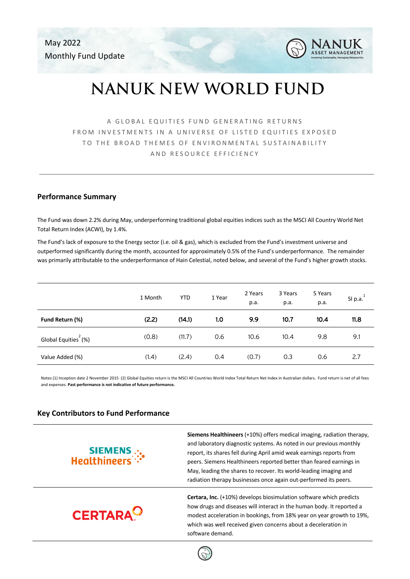May 2022 Monthly Fund Update



# **NANUK NEW WORLD FUND**

A GLOBAL EQUITIES FUND GENERATING RETURNS FROM INVESTMENTS IN A UNIVERSE OF LISTED EQUITIES EXPOSED TO THE BROAD THEMES OF ENVIRONMENTAL SUSTAINABILITY AND RESOURCE EFFICIENCY

## **Performance Summary**

The Fund was down 2.2% during May, underperforming traditional global equities indices such as the MSCI All Country World Net Total Return Index (ACWI), by 1.4%.

The Fund's lack of exposure to the Energy sector (i.e. oil & gas), which is excluded from the Fund's investment universe and outperformed significantly during the month, accounted for approximately 0.5% of the Fund's underperformance. The remainder was primarily attributable to the underperformance of Hain Celestial, noted below, and several of the Fund's higher growth stocks.

|                                  | 1 Month | <b>YTD</b> | 1 Year | 2 Years<br>p.a. | 3 Years<br>p.a. | 5 Years<br>p.a. | SI $p.a.1$ |
|----------------------------------|---------|------------|--------|-----------------|-----------------|-----------------|------------|
| Fund Return (%)                  | (2.2)   | (14.1)     | 1.0    | 9.9             | 10.7            | 10.4            | 11.8       |
| Global Equities <sup>2</sup> (%) | (0.8)   | (11.7)     | 0.6    | 10.6            | 10.4            | 9.8             | 9.1        |
| Value Added (%)                  | (1.4)   | (2.4)      | 0.4    | (0.7)           | 0.3             | 0.6             | 2.7        |

Notes (1) Inception date 2 November 2015 (2) Global Equities return is the MSCI All Countries World Index Total Return Net Index in Australian dollars**.** Fund return is net of all fees and expenses. **Past performance is not indicative of future performance.**

## **Key Contributors to Fund Performance**

**SIEMENS**<br>**Mealthineers** 

**CERTARA<sup>O</sup>** 

**Siemens Healthineers** (+10%) offers medical imaging, radiation therapy, and laboratory diagnostic systems. As noted in our previous monthly report, its shares fell during April amid weak earnings reports from peers. Siemens Healthineers reported better than feared earnings in May, leading the shares to recover. Its world-leading imaging and radiation therapy businesses once again out-performed its peers.

**Certara, Inc.** (+10%) develops biosimulation software which predicts how drugs and diseases will interact in the human body. It reported a modest acceleration in bookings, from 18% year on year growth to 19%, which was well received given concerns about a deceleration in software demand.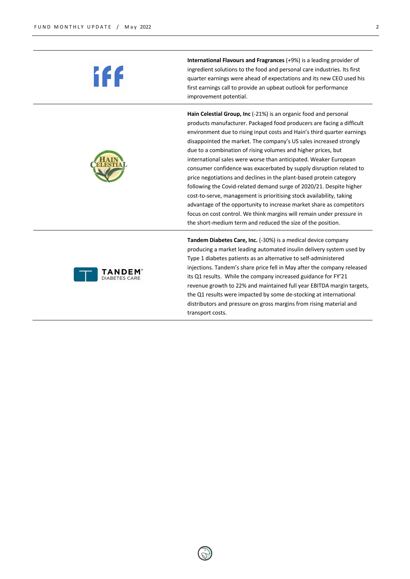

iff



**International Flavours and Fragrances** (+9%) is a leading provider of ingredient solutions to the food and personal care industries. Its first quarter earnings were ahead of expectations and its new CEO used his first earnings call to provide an upbeat outlook for performance improvement potential.

**Hain Celestial Group, Inc** (-21%) is an organic food and personal products manufacturer. Packaged food producers are facing a difficult environment due to rising input costs and Hain's third quarter earnings disappointed the market. The company's US sales increased strongly due to a combination of rising volumes and higher prices, but international sales were worse than anticipated. Weaker European consumer confidence was exacerbated by supply disruption related to price negotiations and declines in the plant-based protein category following the Covid-related demand surge of 2020/21. Despite higher cost-to-serve, management is prioritising stock availability, taking advantage of the opportunity to increase market share as competitors focus on cost control. We think margins will remain under pressure in the short-medium term and reduced the size of the position.

**Tandem Diabetes Care, Inc.** (-30%) is a medical device company producing a market leading automated insulin delivery system used by Type 1 diabetes patients as an alternative to self-administered injections. Tandem's share price fell in May after the company released its Q1 results. While the company increased guidance for FY'21 revenue growth to 22% and maintained full year EBITDA margin targets, the Q1 results were impacted by some de-stocking at international distributors and pressure on gross margins from rising material and transport costs.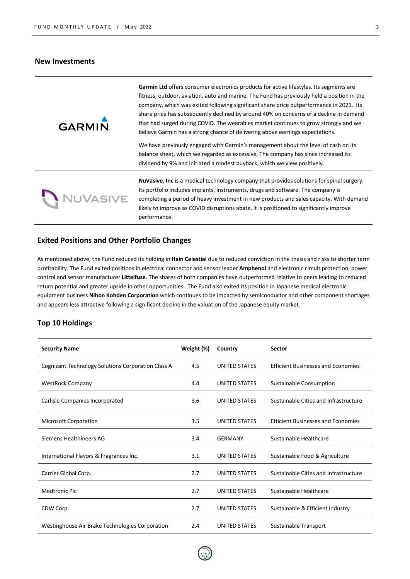#### **New Investments**

| <b>GARMIN</b> | Garmin Ltd offers consumer electronics products for active lifestyles. Its segments are<br>fitness, outdoor, aviation, auto and marine. The Fund has previously held a position in the<br>company, which was exited following significant share price outperformance in 2021. Its<br>share price has subsequently declined by around 40% on concerns of a decline in demand<br>that had surged during COVID. The wearables market continues to grow strongly and we<br>believe Garmin has a strong chance of delivering above earnings expectations.<br>We have previously engaged with Garmin's management about the level of cash on its<br>balance sheet, which we regarded as excessive. The company has since increased its<br>dividend by 9% and initiated a modest buyback, which we view positively. |
|---------------|--------------------------------------------------------------------------------------------------------------------------------------------------------------------------------------------------------------------------------------------------------------------------------------------------------------------------------------------------------------------------------------------------------------------------------------------------------------------------------------------------------------------------------------------------------------------------------------------------------------------------------------------------------------------------------------------------------------------------------------------------------------------------------------------------------------|
| NUVASIVE      | <b>NuVasive, Inc</b> is a medical technology company that provides solutions for spinal surgery.<br>Its portfolio includes implants, instruments, drugs and software. The company is<br>completing a period of heavy investment in new products and sales capacity. With demand<br>likely to improve as COVID disruptions abate, it is positioned to significantly improve<br>performance.                                                                                                                                                                                                                                                                                                                                                                                                                   |

## **Exited Positions and Other Portfolio Changes**

As mentioned above, the Fund reduced its holding in **Hain Celestial** due to reduced conviction in the thesis and risks to shorter term profitability. The Fund exited positions in electrical connector and sensor leader **Amphenol** and electronic circuit protection, power control and sensor manufacturer **Littelfuse**. The shares of both companies have outperformed relative to peers leading to reduced return potential and greater upside in other opportunities. The Fund also exited its position in Japanese medical electronic equipment business **Nihon Kohden Corporation** which continues to be impacted by semiconductor and other component shortages and appears less attractive following a significant decline in the valuation of the Japanese equity market.

## **Top 10 Holdings**

| <b>Security Name</b>                               | Weight (%)<br>Country |                      | Sector                                    |  |
|----------------------------------------------------|-----------------------|----------------------|-------------------------------------------|--|
| Cognizant Technology Solutions Corporation Class A | 4.5                   | UNITED STATES        | <b>Efficient Businesses and Economies</b> |  |
| <b>WestRock Company</b>                            | 4.4                   | UNITED STATES        | Sustainable Consumption                   |  |
| Carlisle Companies Incorporated                    | 3.6                   | UNITED STATES        | Sustainable Cities and Infrastructure     |  |
| <b>Microsoft Corporation</b>                       | 3.5                   | UNITED STATES        | <b>Efficient Businesses and Economies</b> |  |
| Siemens Healthineers AG                            | 3.4                   | <b>GERMANY</b>       | Sustainable Healthcare                    |  |
| International Flavors & Fragrances Inc.            | 3.1                   | UNITED STATES        | Sustainable Food & Agriculture            |  |
| Carrier Global Corp.                               | 2.7                   | <b>UNITED STATES</b> | Sustainable Cities and Infrastructure     |  |
| <b>Medtronic Plc</b>                               | 2.7                   | UNITED STATES        | Sustainable Healthcare                    |  |
| CDW Corp.                                          | 2.7                   | UNITED STATES        | Sustainable & Efficient Industry          |  |
| Westinghouse Air Brake Technologies Corporation    | 2.4                   | UNITED STATES        | Sustainable Transport                     |  |



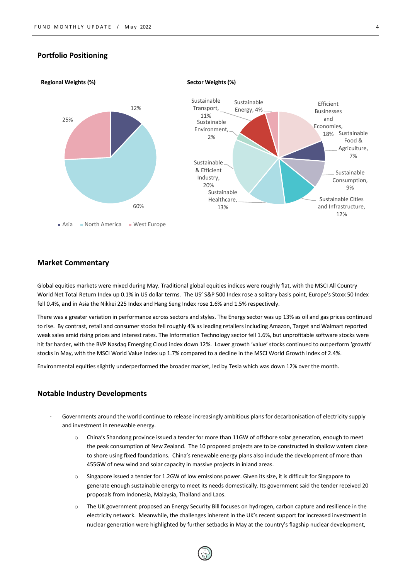### **Portfolio Positioning**



#### **Market Commentary**

Global equities markets were mixed during May. Traditional global equities indices were roughly flat, with the MSCI All Country World Net Total Return Index up 0.1% in US dollar terms. The US' S&P 500 Index rose a solitary basis point, Europe's Stoxx 50 Index fell 0.4%, and in Asia the Nikkei 225 Index and Hang Seng Index rose 1.6% and 1.5% respectively.

There was a greater variation in performance across sectors and styles. The Energy sector was up 13% as oil and gas prices continued to rise. By contrast, retail and consumer stocks fell roughly 4% as leading retailers including Amazon, Target and Walmart reported weak sales amid rising prices and interest rates. The Information Technology sector fell 1.6%, but unprofitable software stocks were hit far harder, with the BVP Nasdaq Emerging Cloud index down 12%. Lower growth 'value' stocks continued to outperform 'growth' stocks in May, with the MSCI World Value Index up 1.7% compared to a decline in the MSCI World Growth Index of 2.4%.

Environmental equities slightly underperformed the broader market, led by Tesla which was down 12% over the month.

#### **Notable Industry Developments**

- Governments around the world continue to release increasingly ambitious plans for decarbonisation of electricity supply and investment in renewable energy.
	- o China's Shandong province issued a tender for more than 11GW of offshore solar generation, enough to meet the peak consumption of New Zealand. The 10 proposed projects are to be constructed in shallow waters close to shore using fixed foundations. China's renewable energy plans also include the development of more than 455GW of new wind and solar capacity in massive projects in inland areas.
	- o Singapore issued a tender for 1.2GW of low emissions power. Given its size, it is difficult for Singapore to generate enough sustainable energy to meet its needs domestically. Its government said the tender received 20 proposals from Indonesia, Malaysia, Thailand and Laos.
	- o The UK government proposed an Energy Security Bill focuses on hydrogen, carbon capture and resilience in the electricity network. Meanwhile, the challenges inherent in the UK's recent support for increased investment in nuclear generation were highlighted by further setbacks in May at the country's flagship nuclear development,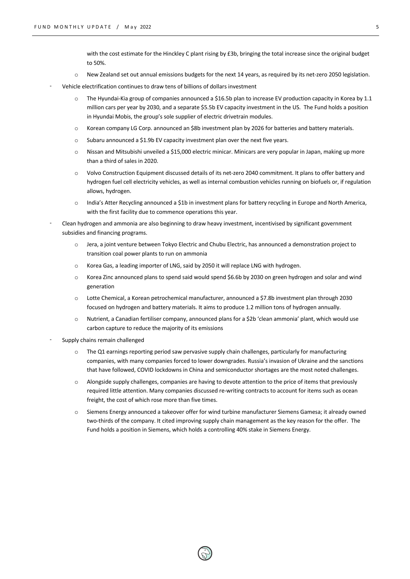with the cost estimate for the Hinckley C plant rising by £3b, bringing the total increase since the original budget to 50%.

- New Zealand set out annual emissions budgets for the next 14 years, as required by its net-zero 2050 legislation.
- Vehicle electrification continues to draw tens of billions of dollars investment
	- $\circ$  The Hyundai-Kia group of companies announced a \$16.5b plan to increase EV production capacity in Korea by 1.1 million cars per year by 2030, and a separate \$5.5b EV capacity investment in the US. The Fund holds a position in Hyundai Mobis, the group's sole supplier of electric drivetrain modules.
	- o Korean company LG Corp. announced an \$8b investment plan by 2026 for batteries and battery materials.
	- $\circ$  Subaru announced a \$1.9b EV capacity investment plan over the next five years.
	- o Nissan and Mitsubishi unveiled a \$15,000 electric minicar. Minicars are very popular in Japan, making up more than a third of sales in 2020.
	- o Volvo Construction Equipment discussed details of its net-zero 2040 commitment. It plans to offer battery and hydrogen fuel cell electricity vehicles, as well as internal combustion vehicles running on biofuels or, if regulation allows, hydrogen.
	- o India's Atter Recycling announced a \$1b in investment plans for battery recycling in Europe and North America, with the first facility due to commence operations this year.
- Clean hydrogen and ammonia are also beginning to draw heavy investment, incentivised by significant government subsidies and financing programs.
	- o Jera, a joint venture between Tokyo Electric and Chubu Electric, has announced a demonstration project to transition coal power plants to run on ammonia
	- o Korea Gas, a leading importer of LNG, said by 2050 it will replace LNG with hydrogen.
	- o Korea Zinc announced plans to spend said would spend \$6.6b by 2030 on green hydrogen and solar and wind generation
	- o Lotte Chemical, a Korean petrochemical manufacturer, announced a \$7.8b investment plan through 2030 focused on hydrogen and battery materials. It aims to produce 1.2 million tons of hydrogen annually.
	- o Nutrient, a Canadian fertiliser company, announced plans for a \$2b 'clean ammonia' plant, which would use carbon capture to reduce the majority of its emissions
- Supply chains remain challenged
	- $\circ$  The Q1 earnings reporting period saw pervasive supply chain challenges, particularly for manufacturing companies, with many companies forced to lower downgrades. Russia's invasion of Ukraine and the sanctions that have followed, COVID lockdowns in China and semiconductor shortages are the most noted challenges.
	- o Alongside supply challenges, companies are having to devote attention to the price of items that previously required little attention. Many companies discussed re-writing contracts to account for items such as ocean freight, the cost of which rose more than five times.
	- o Siemens Energy announced a takeover offer for wind turbine manufacturer Siemens Gamesa; it already owned two-thirds of the company. It cited improving supply chain management as the key reason for the offer. The Fund holds a position in Siemens, which holds a controlling 40% stake in Siemens Energy.

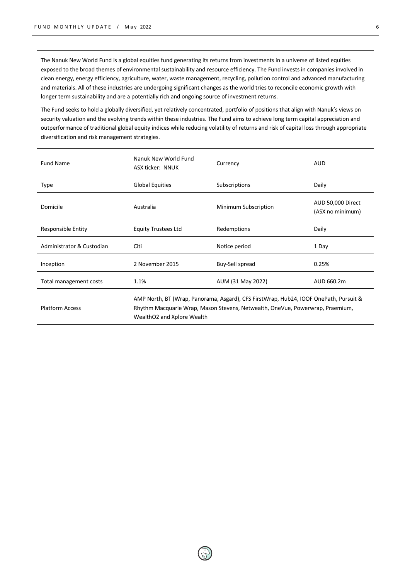The Nanuk New World Fund is a global equities fund generating its returns from investments in a universe of listed equities exposed to the broad themes of environmental sustainability and resource efficiency. The Fund invests in companies involved in clean energy, energy efficiency, agriculture, water, waste management, recycling, pollution control and advanced manufacturing and materials. All of these industries are undergoing significant changes as the world tries to reconcile economic growth with longer term sustainability and are a potentially rich and ongoing source of investment returns.

The Fund seeks to hold a globally diversified, yet relatively concentrated, portfolio of positions that align with Nanuk's views on security valuation and the evolving trends within these industries. The Fund aims to achieve long term capital appreciation and outperformance of traditional global equity indices while reducing volatility of returns and risk of capital loss through appropriate diversification and risk management strategies.

| <b>Fund Name</b>          | Nanuk New World Fund<br>ASX ticker: NNUK                                                                                                                                                             | Currency             | <b>AUD</b>                            |  |  |
|---------------------------|------------------------------------------------------------------------------------------------------------------------------------------------------------------------------------------------------|----------------------|---------------------------------------|--|--|
| Type                      | <b>Global Equities</b>                                                                                                                                                                               | Subscriptions        | Daily                                 |  |  |
| Domicile                  | Australia                                                                                                                                                                                            | Minimum Subscription | AUD 50,000 Direct<br>(ASX no minimum) |  |  |
| Responsible Entity        | <b>Equity Trustees Ltd</b>                                                                                                                                                                           | Redemptions          | Daily                                 |  |  |
| Administrator & Custodian | Citi                                                                                                                                                                                                 | Notice period        | 1 Day                                 |  |  |
| Inception                 | 2 November 2015                                                                                                                                                                                      | Buy-Sell spread      | 0.25%                                 |  |  |
| Total management costs    | 1.1%                                                                                                                                                                                                 | AUM (31 May 2022)    | AUD 660.2m                            |  |  |
| <b>Platform Access</b>    | AMP North, BT (Wrap, Panorama, Asgard), CFS FirstWrap, Hub24, IOOF OnePath, Pursuit &<br>Rhythm Macquarie Wrap, Mason Stevens, Netwealth, OneVue, Powerwrap, Praemium,<br>WealthO2 and Xplore Wealth |                      |                                       |  |  |